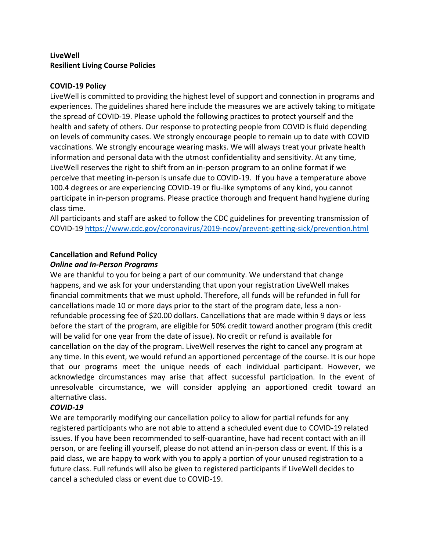## **LiveWell Resilient Living Course Policies**

#### **COVID-19 Policy**

LiveWell is committed to providing the highest level of support and connection in programs and experiences. The guidelines shared here include the measures we are actively taking to mitigate the spread of COVID-19. Please uphold the following practices to protect yourself and the health and safety of others. Our response to protecting people from COVID is fluid depending on levels of community cases. We strongly encourage people to remain up to date with COVID vaccinations. We strongly encourage wearing masks. We will always treat your private health information and personal data with the utmost confidentiality and sensitivity. At any time, LiveWell reserves the right to shift from an in-person program to an online format if we perceive that meeting in-person is unsafe due to COVID-19. If you have a temperature above 100.4 degrees or are experiencing COVID-19 or flu-like symptoms of any kind, you cannot participate in in-person programs. Please practice thorough and frequent hand hygiene during class time.

All participants and staff are asked to follow the CDC guidelines for preventing transmission of COVID-19<https://www.cdc.gov/coronavirus/2019-ncov/prevent-getting-sick/prevention.html>

# **Cancellation and Refund Policy**

### *Online and In-Person Programs*

We are thankful to you for being a part of our community. We understand that change happens, and we ask for your understanding that upon your registration LiveWell makes financial commitments that we must uphold. Therefore, all funds will be refunded in full for cancellations made 10 or more days prior to the start of the program date, less a nonrefundable processing fee of \$20.00 dollars. Cancellations that are made within 9 days or less before the start of the program, are eligible for 50% credit toward another program (this credit will be valid for one year from the date of issue). No credit or refund is available for cancellation on the day of the program. LiveWell reserves the right to cancel any program at any time. In this event, we would refund an apportioned percentage of the course. It is our hope that our programs meet the unique needs of each individual participant. However, we acknowledge circumstances may arise that affect successful participation. In the event of unresolvable circumstance, we will consider applying an apportioned credit toward an alternative class.

### *COVID-19*

We are temporarily modifying our cancellation policy to allow for partial refunds for any registered participants who are not able to attend a scheduled event due to COVID-19 related issues. If you have been recommended to self-quarantine, have had recent contact with an ill person, or are feeling ill yourself, please do not attend an in-person class or event. If this is a paid class, we are happy to work with you to apply a portion of your unused registration to a future class. Full refunds will also be given to registered participants if LiveWell decides to cancel a scheduled class or event due to COVID-19.